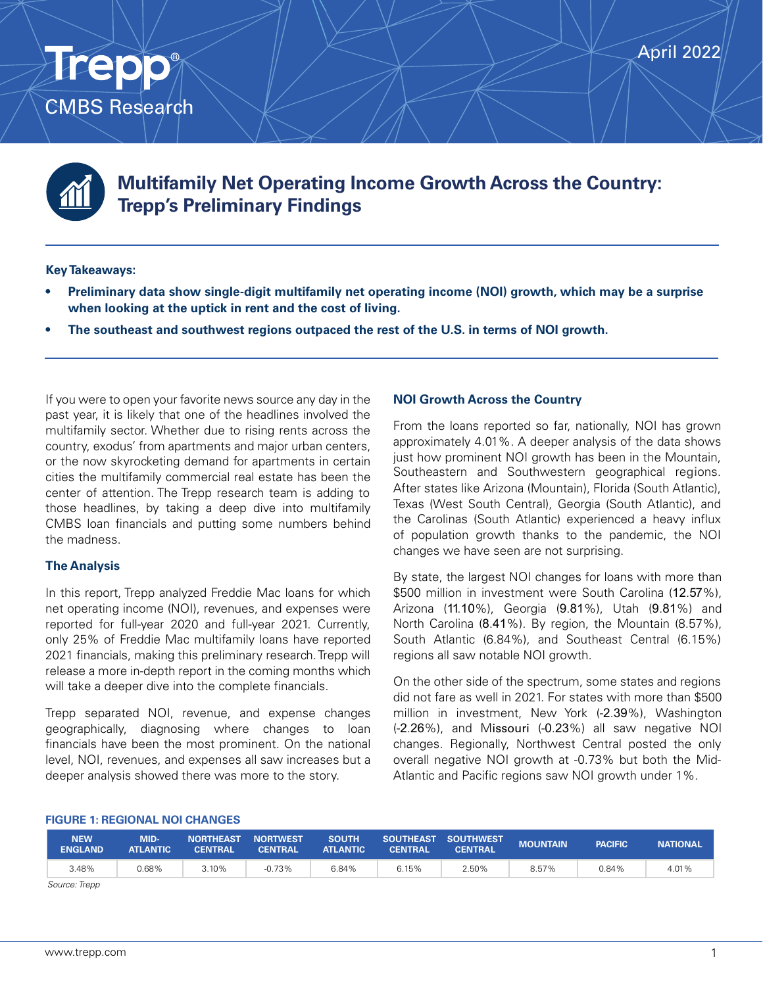

CMBS Research

**Trepp** 

# **Multifamily Net Operating Income Growth Across the Country: Trepp's Preliminary Findings**

# **Key Takeaways:**

- **• Preliminary data show single-digit multifamily net operating income (NOI) growth, which may be a surprise when looking at the uptick in rent and the cost of living.**
- **• The southeast and southwest regions outpaced the rest of the U.S. in terms of NOI growth.**

If you were to open your favorite news source any day in the past year, it is likely that one of the headlines involved the multifamily sector. Whether due to rising rents across the country, exodus' from apartments and major urban centers, or the now skyrocketing demand for apartments in certain cities the multifamily commercial real estate has been the center of attention. The Trepp research team is adding to those headlines, by taking a deep dive into multifamily CMBS loan financials and putting some numbers behind the madness.

# **The Analysis**

In this report, Trepp analyzed Freddie Mac loans for which net operating income (NOI), revenues, and expenses were reported for full-year 2020 and full-year 2021. Currently, only 25% of Freddie Mac multifamily loans have reported 2021 financials, making this preliminary research. Trepp will release a more in-depth report in the coming months which will take a deeper dive into the complete financials.

Trepp separated NOI, revenue, and expense changes geographically, diagnosing where changes to loan financials have been the most prominent. On the national level, NOI, revenues, and expenses all saw increases but a deeper analysis showed there was more to the story.

## **NOI Growth Across the Country**

From the loans reported so far, nationally, NOI has grown approximately 4.01%. A deeper analysis of the data shows just how prominent NOI growth has been in the Mountain, Southeastern and Southwestern geographical regions. After states like Arizona (Mountain), Florida (South Atlantic), Texas (West South Central), Georgia (South Atlantic), and the Carolinas (South Atlantic) experienced a heavy influx of population growth thanks to the pandemic, the NOI changes we have seen are not surprising.

By state, the largest NOI changes for loans with more than \$500 million in investment were South Carolina (12.57%), Arizona (11.10%), Georgia (9.81%), Utah (9.81%) and North Carolina (8.41%). By region, the Mountain (8.57%), South Atlantic (6.84%), and Southeast Central (6.15%) regions all saw notable NOI growth.

On the other side of the spectrum, some states and regions did not fare as well in 2021. For states with more than \$500 million in investment, New York (-2.39%), Washington (-2.26%), and Missouri (-0.23%) all saw negative NOI changes. Regionally, Northwest Central posted the only overall negative NOI growth at -0.73% but both the Mid-Atlantic and Pacific regions saw NOI growth under 1%.

#### **FIGURE 1: REGIONAL NOI CHANGES**

| <b>NEW</b><br><b>ENGLAND</b> | MID-<br><b>ATLANTIC</b> | <b>NORTHEAST</b><br><b>CENTRAL</b> | <b>NORTWEST</b><br><b>CENTRAL</b> | <b>SOUTH</b><br><b>ATLANTIC</b> | <b>CENTRAL</b> | SOUTHEAST SOUTHWEST<br><b>CENTRAL</b> | <b>MOUNTAIN</b> | <b>PACIFIC</b> | <b>NATIONAL</b> |
|------------------------------|-------------------------|------------------------------------|-----------------------------------|---------------------------------|----------------|---------------------------------------|-----------------|----------------|-----------------|
| 3.48%                        | 0.68%                   | 3.10%                              | $-0.73%$                          | 6.84%                           | 6.15%          | 2.50%                                 | 8.57%           | 0.84%          | 4.01%           |

*Source: Trepp*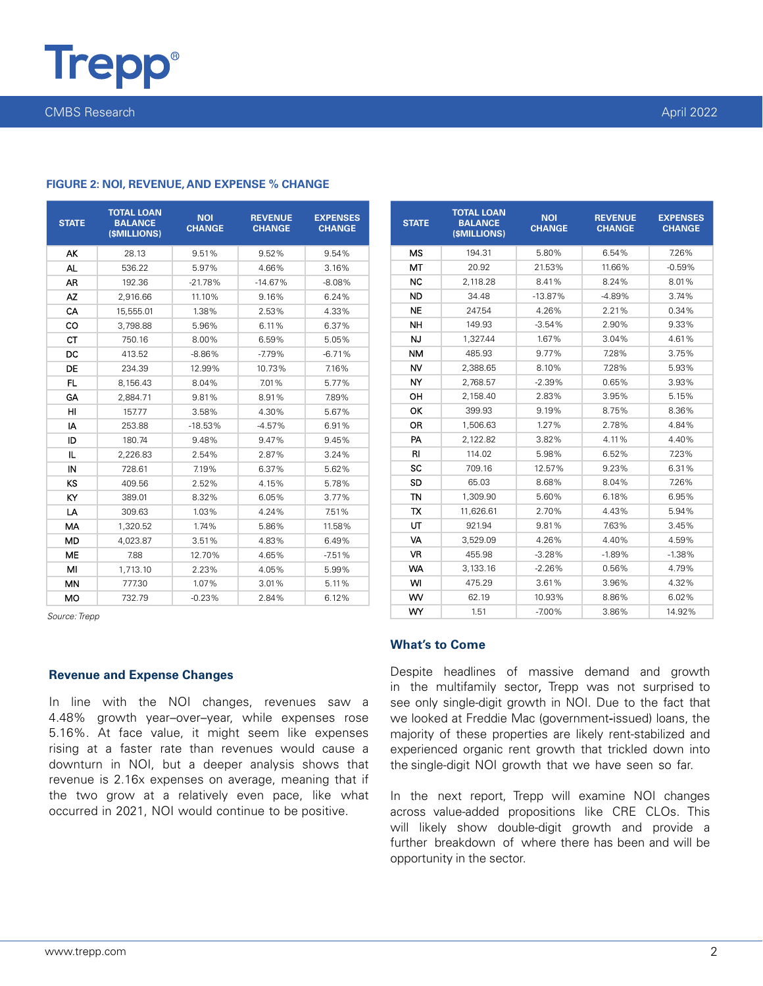

CMBS Research April 2022

| <b>STATE</b> | <b>TOTAL LOAN</b><br><b>BALANCE</b><br>(\$MILLIONS) | <b>NOI</b><br><b>CHANGE</b> | <b>REVENUE</b><br><b>CHANGE</b> | <b>EXPENSES</b><br><b>CHANGE</b> |  |
|--------------|-----------------------------------------------------|-----------------------------|---------------------------------|----------------------------------|--|
| AK           | 28.13                                               | 9.51%                       | 9.52%                           | 9.54%                            |  |
| AL           | 536.22                                              | 5.97%                       | 4.66%                           | 3.16%                            |  |
| AR           | 192.36                                              | $-21.78%$                   | $-14.67%$                       | $-8.08%$                         |  |
| AZ           | 2.916.66                                            | 11.10%                      | 9.16%                           | 6.24%                            |  |
| CA           | 15,555.01                                           | 1.38%                       | 2.53%                           | 4.33%                            |  |
| CO           | 3.798.88                                            | 5.96%                       | 6.11%                           | 6.37%                            |  |
| <b>CT</b>    | 750.16                                              | 8.00%                       | 6.59%                           | 5.05%                            |  |
| DC           | 413.52                                              | $-8.86%$                    | $-7.79%$                        | $-6.71%$                         |  |
| DE           | 234.39                                              | 12.99%                      | 10.73%                          | 7.16%                            |  |
| FL.          | 8.156.43                                            | 8.04%                       | 7.01%                           | 5.77%                            |  |
| GA           | 2,884.71                                            | 9.81%                       | 8.91%                           | 7.89%                            |  |
| HI           | 157.77                                              | 3.58%                       | 4.30%                           | 5.67%                            |  |
| I٨           | 253.88                                              | $-18.53%$                   | $-4.57%$                        | 6.91%                            |  |
| ID           | 180.74                                              | 9.48%                       | 9.47%                           | 9.45%                            |  |
| IL           | 2,226.83                                            | 2.54%                       | 2.87%                           | 3.24%                            |  |
| IN           | 728.61                                              | 7.19%                       | 6.37%                           | 5.62%                            |  |
| KS           | 409.56                                              | 2.52%                       | 4.15%                           | 5.78%                            |  |
| KY           | 389.01                                              | 8.32%                       | 6.05%                           | 3.77%                            |  |
| LA           | 309.63                                              | 1.03%                       | 4.24%                           | 7.51%                            |  |
| МA           | 1,320.52                                            | 1.74%                       | 5.86%                           | 11.58%                           |  |
| MD           | 4,023.87                                            | 3.51%                       | 4.83%                           | 6.49%                            |  |
| ME           | 7.88                                                | 12.70%                      | 4.65%                           | $-7.51%$                         |  |
| MI           | 1,713.10                                            | 2.23%                       | 4.05%                           | 5.99%                            |  |
| MN           | 777.30                                              | 1.07%                       | 3.01%                           | 5.11%                            |  |
| <b>MO</b>    | 732.79                                              | $-0.23%$                    | 2.84%                           | 6.12%                            |  |

#### **FIGURE 2: NOI, REVENUE, AND EXPENSE % CHANGE**

*Source: Trepp*

## **Revenue and Expense Changes**

In line with the NOI changes, revenues saw a 4.48% growth year–over–year, while expenses rose 5.16%. At face value, it might seem like expenses rising at a faster rate than revenues would cause a downturn in NOI, but a deeper analysis shows that revenue is 2.16x expenses on average, meaning that if the two grow at a relatively even pace, like what occurred in 2021, NOI would continue to be positive.

| <b>STATE</b> | <b>TOTAL LOAN</b><br><b>BALANCE</b><br>(SMILLIONS) | <b>NOI</b><br><b>CHANGE</b> | <b>REVENUE</b><br><b>CHANGE</b> | <b>EXPENSES</b><br><b>CHANGE</b> |
|--------------|----------------------------------------------------|-----------------------------|---------------------------------|----------------------------------|
| <b>MS</b>    | 194.31                                             | 5.80%                       | 6.54%                           | 7.26%                            |
| MT           | 20.92                                              | 21.53%                      | 11.66%                          | $-0.59%$                         |
| <b>NC</b>    | 2.118.28                                           | 8.41%                       | 8.24%                           | 8.01%                            |
| ND           | 34.48                                              | $-13.87%$                   | -4.89%                          | 3.74%                            |
| <b>NE</b>    | 247.54                                             | 4.26%                       | 2.21%                           | 0.34%                            |
| <b>NH</b>    | 149.93                                             | $-3.54%$                    | 2.90%                           | 9.33%                            |
| <b>NJ</b>    | 1.327.44                                           | 1.67%                       | 3.04%                           | 4.61%                            |
| <b>NM</b>    | 485.93                                             | 9.77%                       | 7.28%                           | 3.75%                            |
| NV           | 2,388.65                                           | 8.10%                       | 7.28%                           | 5.93%                            |
| NY           | 2.768.57                                           | $-2.39%$                    | 0.65%                           | 3.93%                            |
| OН           | 2.158.40                                           | 2.83%                       | 3.95%                           | 5.15%                            |
| ОΚ           | 399.93                                             | 9.19%                       | 8.75%                           | 8.36%                            |
| OR           | 1.506.63                                           | 1.27%                       | 2.78%                           | 4.84%                            |
| PA           | 2,122.82                                           | 3.82%                       | 4.11%                           | 4.40%                            |
| RI           | 114.02                                             | 5.98%                       | 6.52%                           | 7.23%                            |
| SC           | 709.16                                             | 12.57%                      | 9.23%                           | 6.31%                            |
| SD           | 65.03                                              | 8.68%                       | 8.04%                           | 7.26%                            |
| TN           | 1.309.90                                           | 5.60%                       | 6.18%                           | 6.95%                            |
| TX           | 11,626.61                                          | 2.70%                       | 4.43%                           | 5.94%                            |
| UT           | 921.94                                             | 9.81%                       | 7.63%                           | 3.45%                            |
| VA           | 3.529.09                                           | 4.26%                       | 4.40%                           | 4.59%                            |
| VR           | 455.98                                             | $-3.28%$                    | $-1.89%$                        | $-1.38%$                         |
| <b>WA</b>    | 3.133.16                                           | $-2.26%$                    | 0.56%                           | 4.79%                            |
| WI           | 475.29                                             | 3.61%                       | 3.96%                           | 4.32%                            |
| WV           | 62.19                                              | 10.93%                      | 8.86%                           | 6.02%                            |
| WY           | 1.51                                               | $-7.00\%$                   | 3.86%                           | 14.92%                           |

# **What's to Come**

Despite headlines of massive demand and growth in the multifamily sector, Trepp was not surprised to see only single-digit growth in NOI. Due to the fact that we looked at Freddie Mac (government-issued) loans, the majority of these properties are likely rent-stabilized and experienced organic rent growth that trickled down into the single-digit NOI growth that we have seen so far.

In the next report, Trepp will examine NOI changes across value-added propositions like CRE CLOs. This will likely show double-digit growth and provide a further breakdown of where there has been and will be opportunity in the sector.